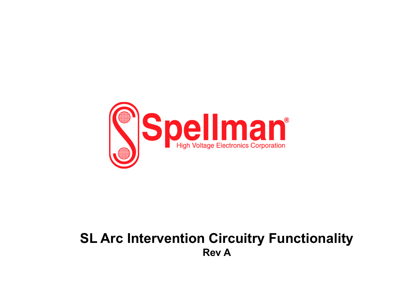

## **SL Arc Intervention Circuitry Functionality Rev A**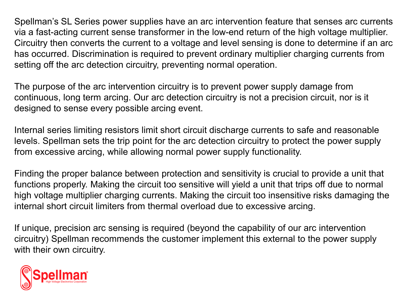Spellman's SL Series power supplies have an arc intervention feature that senses arc currents via a fast-acting current sense transformer in the low-end return of the high voltage multiplier. Circuitry then converts the current to a voltage and level sensing is done to determine if an arc has occurred. Discrimination is required to prevent ordinary multiplier charging currents from setting off the arc detection circuitry, preventing normal operation.

The purpose of the arc intervention circuitry is to prevent power supply damage from continuous, long term arcing. Our arc detection circuitry is not a precision circuit, nor is it designed to sense every possible arcing event.

Internal series limiting resistors limit short circuit discharge currents to safe and reasonable levels. Spellman sets the trip point for the arc detection circuitry to protect the power supply from excessive arcing, while allowing normal power supply functionality.

Finding the proper balance between protection and sensitivity is crucial to provide a unit that functions properly. Making the circuit too sensitive will yield a unit that trips off due to normal high voltage multiplier charging currents. Making the circuit too insensitive risks damaging the internal short circuit limiters from thermal overload due to excessive arcing.

If unique, precision arc sensing is required (beyond the capability of our arc intervention circuitry) Spellman recommends the customer implement this external to the power supply with their own circuitry.

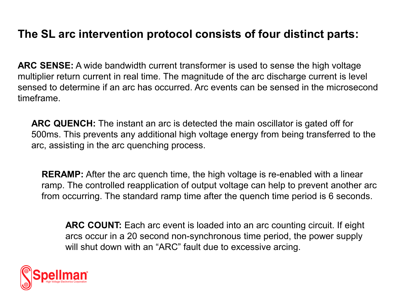## **The SL arc intervention protocol consists of four distinct parts:**

**ARC SENSE:** A wide bandwidth current transformer is used to sense the high voltage multiplier return current in real time. The magnitude of the arc discharge current is level sensed to determine if an arc has occurred. Arc events can be sensed in the microsecond timeframe.

**ARC QUENCH:** The instant an arc is detected the main oscillator is gated off for 500ms. This prevents any additional high voltage energy from being transferred to the arc, assisting in the arc quenching process.

**RERAMP:** After the arc quench time, the high voltage is re-enabled with a linear ramp. The controlled reapplication of output voltage can help to prevent another arc from occurring. The standard ramp time after the quench time period is 6 seconds.

**ARC COUNT:** Each arc event is loaded into an arc counting circuit. If eight arcs occur in a 20 second non-synchronous time period, the power supply will shut down with an "ARC" fault due to excessive arcing.

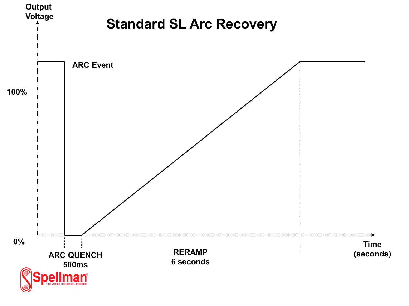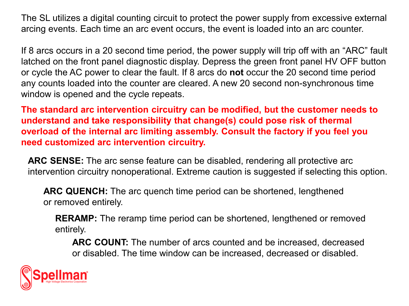The SL utilizes a digital counting circuit to protect the power supply from excessive external arcing events. Each time an arc event occurs, the event is loaded into an arc counter.

If 8 arcs occurs in a 20 second time period, the power supply will trip off with an "ARC" fault latched on the front panel diagnostic display. Depress the green front panel HV OFF button or cycle the AC power to clear the fault. If 8 arcs do **not** occur the 20 second time period any counts loaded into the counter are cleared. A new 20 second non-synchronous time window is opened and the cycle repeats.

**The standard arc intervention circuitry can be modified, but the customer needs to understand and take responsibility that change(s) could pose risk of thermal overload of the internal arc limiting assembly. Consult the factory if you feel you need customized arc intervention circuitry.**

**ARC SENSE:** The arc sense feature can be disabled, rendering all protective arc intervention circuitry nonoperational. Extreme caution is suggested if selecting this option.

**ARC QUENCH:** The arc quench time period can be shortened, lengthened or removed entirely.

**RERAMP:** The reramp time period can be shortened, lengthened or removed entirely.

**ARC COUNT:** The number of arcs counted and be increased, decreased or disabled. The time window can be increased, decreased or disabled.